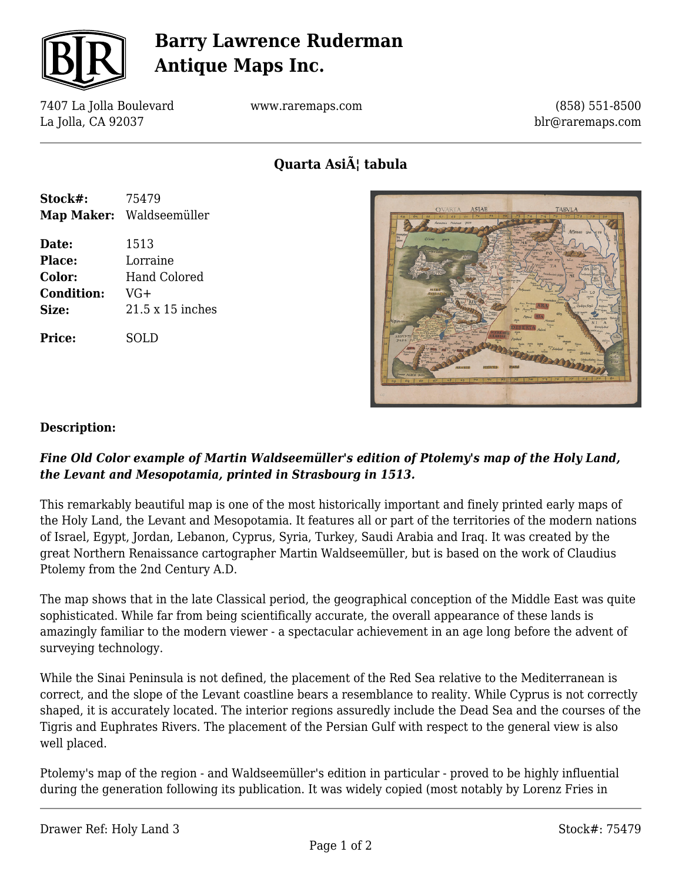

# **Barry Lawrence Ruderman Antique Maps Inc.**

7407 La Jolla Boulevard La Jolla, CA 92037

www.raremaps.com

(858) 551-8500 blr@raremaps.com

Quarta Asi**A**¦ tabula

| Stock#:           | 75479                    |
|-------------------|--------------------------|
|                   | Map Maker: Waldseemüller |
| Date:             | 1513                     |
| Place:            | Lorraine                 |
| <b>Color:</b>     | Hand Colored             |
| <b>Condition:</b> | $VG+$                    |
| Size:             | $21.5 \times 15$ inches  |
| Price:            | SOL D                    |



#### **Description:**

### *Fine Old Color example of Martin Waldseemüller's edition of Ptolemy's map of the Holy Land, the Levant and Mesopotamia, printed in Strasbourg in 1513.*

This remarkably beautiful map is one of the most historically important and finely printed early maps of the Holy Land, the Levant and Mesopotamia. It features all or part of the territories of the modern nations of Israel, Egypt, Jordan, Lebanon, Cyprus, Syria, Turkey, Saudi Arabia and Iraq. It was created by the great Northern Renaissance cartographer Martin Waldseemüller, but is based on the work of Claudius Ptolemy from the 2nd Century A.D.

The map shows that in the late Classical period, the geographical conception of the Middle East was quite sophisticated. While far from being scientifically accurate, the overall appearance of these lands is amazingly familiar to the modern viewer - a spectacular achievement in an age long before the advent of surveying technology.

While the Sinai Peninsula is not defined, the placement of the Red Sea relative to the Mediterranean is correct, and the slope of the Levant coastline bears a resemblance to reality. While Cyprus is not correctly shaped, it is accurately located. The interior regions assuredly include the Dead Sea and the courses of the Tigris and Euphrates Rivers. The placement of the Persian Gulf with respect to the general view is also well placed.

Ptolemy's map of the region - and Waldseemüller's edition in particular - proved to be highly influential during the generation following its publication. It was widely copied (most notably by Lorenz Fries in